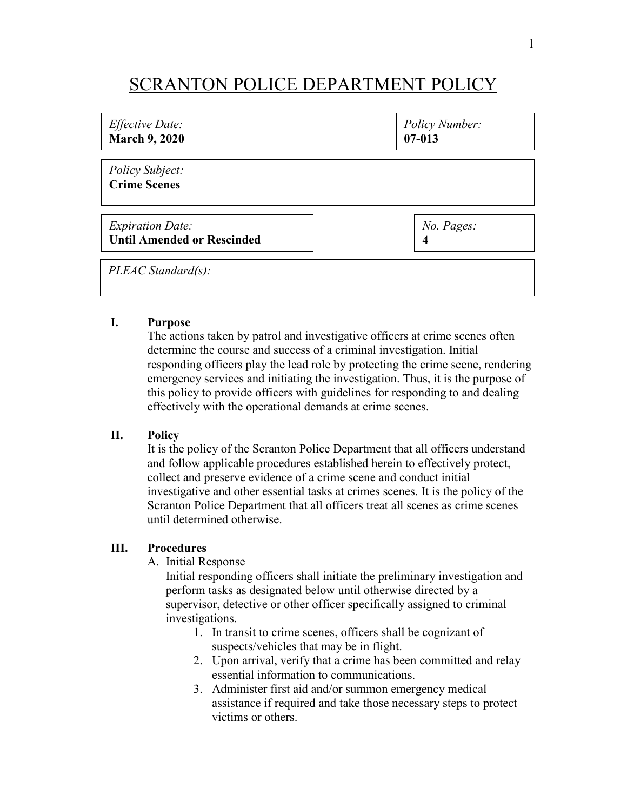## SCRANTON POLICE DEPARTMENT POLICY

| <i>Effective Date:</i>                 | <b>Policy Number:</b> |
|----------------------------------------|-----------------------|
| <b>March 9, 2020</b>                   | $07 - 013$            |
| Policy Subject:<br><b>Crime Scenes</b> |                       |
| <i>Expiration Date:</i>                | No. Pages:            |
| <b>Until Amended or Rescinded</b>      | 4                     |
| PLEAC Standard(s):                     |                       |

## **I. Purpose**

The actions taken by patrol and investigative officers at crime scenes often determine the course and success of a criminal investigation. Initial responding officers play the lead role by protecting the crime scene, rendering emergency services and initiating the investigation. Thus, it is the purpose of this policy to provide officers with guidelines for responding to and dealing effectively with the operational demands at crime scenes.

## **II. Policy**

It is the policy of the Scranton Police Department that all officers understand and follow applicable procedures established herein to effectively protect, collect and preserve evidence of a crime scene and conduct initial investigative and other essential tasks at crimes scenes. It is the policy of the Scranton Police Department that all officers treat all scenes as crime scenes until determined otherwise.

## **III. Procedures**

A. Initial Response

Initial responding officers shall initiate the preliminary investigation and perform tasks as designated below until otherwise directed by a supervisor, detective or other officer specifically assigned to criminal investigations.

- 1. In transit to crime scenes, officers shall be cognizant of suspects/vehicles that may be in flight.
- 2. Upon arrival, verify that a crime has been committed and relay essential information to communications.
- 3. Administer first aid and/or summon emergency medical assistance if required and take those necessary steps to protect victims or others.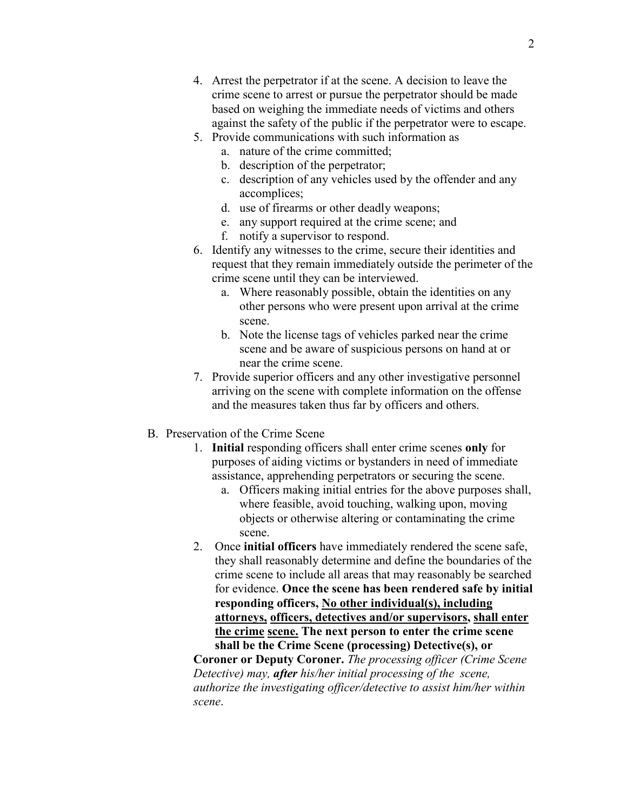- 5. Provide communications with such information as
	- a. nature of the crime committed;
	- b. description of the perpetrator;
	- c. description of any vehicles used by the offender and any accomplices;
	- d. use of firearms or other deadly weapons;
	- e. any support required at the crime scene; and
	- f. notify a supervisor to respond.
- 6. Identify any witnesses to the crime, secure their identities and request that they remain immediately outside the perimeter of the crime scene until they can be interviewed.
	- a. Where reasonably possible, obtain the identities on any other persons who were present upon arrival at the crime scene.
	- b. Note the license tags of vehicles parked near the crime scene and be aware of suspicious persons on hand at or near the crime scene.
- 7. Provide superior officers and any other investigative personnel arriving on the scene with complete information on the offense and the measures taken thus far by officers and others.
- B. Preservation of the Crime Scene
	- 1. **Initial** responding officers shall enter crime scenes **only** for purposes of aiding victims or bystanders in need of immediate assistance, apprehending perpetrators or securing the scene.
		- a. Officers making initial entries for the above purposes shall, where feasible, avoid touching, walking upon, moving objects or otherwise altering or contaminating the crime scene.
	- 2. Once **initial officers** have immediately rendered the scene safe, they shall reasonably determine and define the boundaries of the crime scene to include all areas that may reasonably be searched for evidence. **Once the scene has been rendered safe by initial responding officers, No other individual(s), including attorneys, officers, detectives and/or supervisors, shall enter the crime scene. The next person to enter the crime scene shall be the Crime Scene (processing) Detective(s), or**

**Coroner or Deputy Coroner.** *The processing officer (Crime Scene Detective) may, after his/her initial processing of the scene, authorize the investigating officer/detective to assist him/her within scene*.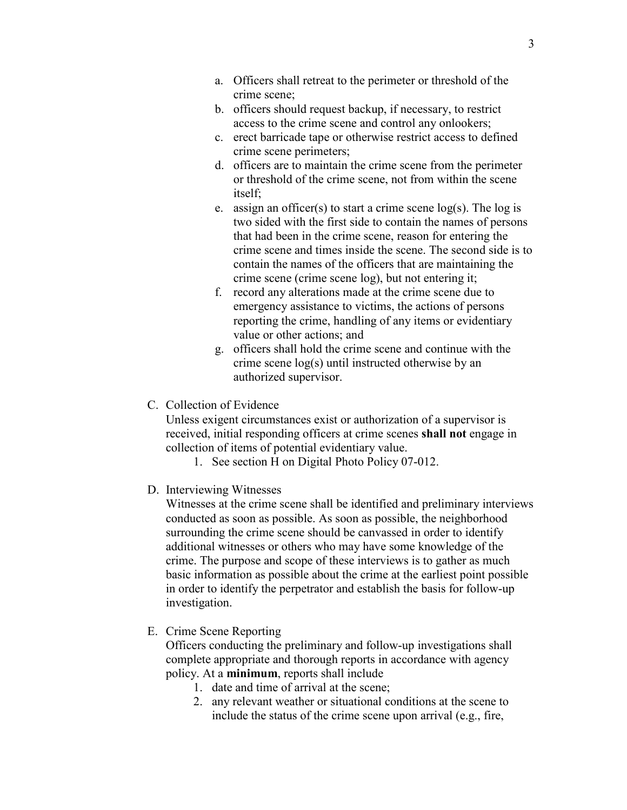- a. Officers shall retreat to the perimeter or threshold of the crime scene;
- b. officers should request backup, if necessary, to restrict access to the crime scene and control any onlookers;
- c. erect barricade tape or otherwise restrict access to defined crime scene perimeters;
- d. officers are to maintain the crime scene from the perimeter or threshold of the crime scene, not from within the scene itself;
- e. assign an officer(s) to start a crime scene  $log(s)$ . The  $log is$ two sided with the first side to contain the names of persons that had been in the crime scene, reason for entering the crime scene and times inside the scene. The second side is to contain the names of the officers that are maintaining the crime scene (crime scene log), but not entering it;
- f. record any alterations made at the crime scene due to emergency assistance to victims, the actions of persons reporting the crime, handling of any items or evidentiary value or other actions; and
- g. officers shall hold the crime scene and continue with the crime scene log(s) until instructed otherwise by an authorized supervisor.
- C. Collection of Evidence

Unless exigent circumstances exist or authorization of a supervisor is received, initial responding officers at crime scenes **shall not** engage in collection of items of potential evidentiary value.

- 1. See section H on Digital Photo Policy 07-012.
- D. Interviewing Witnesses

Witnesses at the crime scene shall be identified and preliminary interviews conducted as soon as possible. As soon as possible, the neighborhood surrounding the crime scene should be canvassed in order to identify additional witnesses or others who may have some knowledge of the crime. The purpose and scope of these interviews is to gather as much basic information as possible about the crime at the earliest point possible in order to identify the perpetrator and establish the basis for follow-up investigation.

E. Crime Scene Reporting

Officers conducting the preliminary and follow-up investigations shall complete appropriate and thorough reports in accordance with agency policy. At a **minimum**, reports shall include

- 1. date and time of arrival at the scene;
- 2. any relevant weather or situational conditions at the scene to include the status of the crime scene upon arrival (e.g., fire,